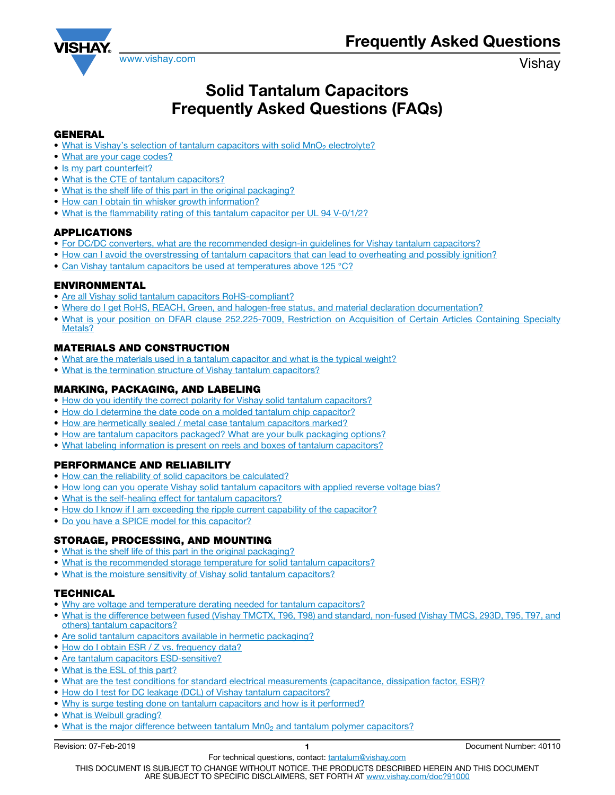

# Solid Tantalum Capacitors Frequently Asked Questions (FAQs)

### [GENERAL](#page-1-0)

- [What is Vishay's selection of tantalum capacitors with solid MnO](#page-1-0)<sub>2</sub> electrolyte?
- [What are your cage codes?](#page-1-0)
- [Is my part counterfeit?](#page-1-0)
- [What is the CTE of tantalum capacitors?](#page-1-0)
- [What is the shelf life of this part in the original packaging?](#page-1-0)
- [How can I obtain tin whisker growth information?](#page-1-0)
- [What is the flammability rating of this tantalum capacitor per UL 94 V-0/1/2?](#page-1-0)

#### [APPLICATIONS](#page-2-0)

- For DC/DC converters, what are the recommended design-in quidelines for Vishay tantalum capacitors?
- [How can I avoid the overstressing of tantalum capacitors that can lead to overheating and possibly ignition?](#page-2-0)
- [Can Vishay tantalum capacitors be used at temperatures above 125 °C?](#page-2-0)

#### [ENVIRONMENTAL](#page-3-0)

- [Are all Vishay solid tantalum capacitors RoHS-compliant?](#page-3-0)
- [Where do I get RoHS, REACH, Green, and halogen-free status, and material declaration documentation?](#page-3-0)
- [What is your position on DFAR clause 252.225-7009, Restriction on Acquisition of Certain Articles Containing Specialty](#page-3-0) [Metals?](#page-3-0)

### [MATERIALS AND CONSTRUCTION](#page-3-0)

- [What are the materials used in a tantalum capacitor and what is the typical weight?](#page-3-0)
- [What is the termination structure of Vishay tantalum capacitors?](#page-3-0)

# [MARKING, PACKAGING, AND LABELING](#page-3-0)

- [How do you identify the correct polarity for Vishay solid tantalum capacitors?](#page-3-0)
- [How do I determine the date code on a molded tantalum chip capacitor?](#page-3-0)
- [How are hermetically sealed / metal case tantalum capacitors marked?](#page-4-0)
- [How are tantalum capacitors packaged? What are your bulk packaging options?](#page-5-0)
- [What labeling information is present on reels and boxes of tantalum capacitors?](#page-5-0)

# [PERFORMANCE AND RELIABILITY](#page-5-0)

- [How can the reliability of solid capacitors be calculated?](#page-5-0)
- [How long can you operate Vishay solid tantalum capacitors with applied reverse voltage bias?](#page-5-0)
- [What is the self-healing effect for tantalum capacitors?](#page-6-0)
- [How do I know if I am exceeding the ripple current capability of the capacitor?](#page-6-0)
- [Do you have a SPICE model for this capacitor?](#page-6-0)

# [STORAGE, PROCESSING, AND MOUNTING](#page-6-0)

- [What is the shelf life of this part in the original packaging?](#page-6-0)
- [What is the recommended storage temperature for solid tantalum capacitors?](#page-6-0)
- [What is the moisture sensitivity of Vishay solid tantalum capacitors?](#page-6-0)

# **[TECHNICAL](#page-7-0)**

- [Why are voltage and temperature derating needed for tantalum capacitors?](#page-7-0)
- [What is the difference between fused \(Vishay TMCTX, T96, T98\) and standard, non-fused \(Vishay TMCS, 293D, T95, T97, and](#page-7-0) [others\) tantalum capacitors?](#page-7-0)
- [Are solid tantalum capacitors available in hermetic packaging?](#page-8-0)
- [How do I obtain ESR / Z vs. frequency data?](#page-8-0)
- [Are tantalum capacitors ESD-sensitive?](#page-8-0)
- [What is the ESL of this part?](#page-8-0)
- [What are the test conditions for standard electrical measurements \(capacitance, dissipation factor, ESR\)?](#page-9-0)
- [How do I test for DC leakage \(DCL\) of Vishay tantalum capacitors?](#page-9-0)
- [Why is surge testing done on tantalum capacitors and how is it performed?](#page-9-0)
- [What is Weibull grading?](#page-10-0)
- What is the major difference between tantalum Mn0<sub>2</sub> and tantalum polymer capacitors?

Revision: 07-Feb-2019 **1 1 Document Number: 40110**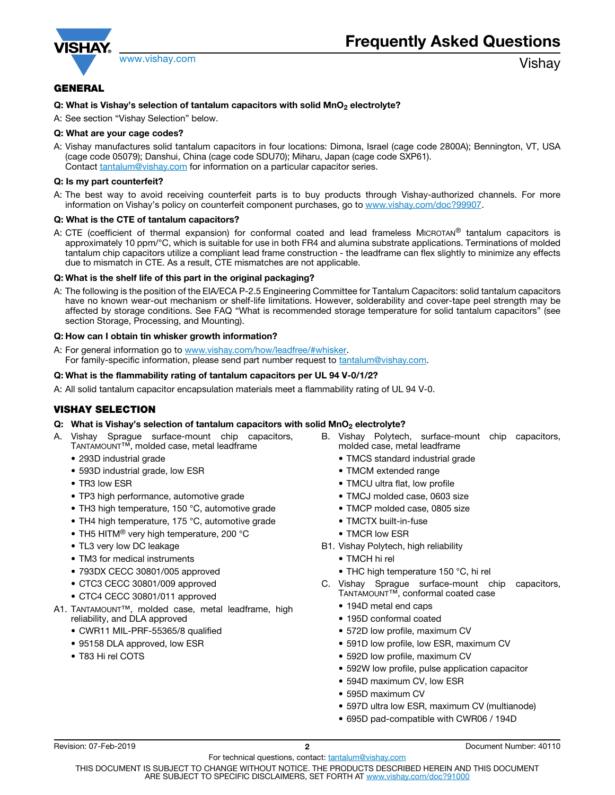<span id="page-1-0"></span>

# **GENERAL**

#### Q: What is Vishay's selection of tantalum capacitors with solid  $MnO<sub>2</sub>$  electrolyte?

A: See section "Vishay Selection" below.

#### Q: What are your cage codes?

A: Vishay manufactures solid tantalum capacitors in four locations: Dimona, Israel (cage code 2800A); Bennington, VT, USA (cage code 05079); Danshui, China (cage code SDU70); Miharu, Japan (cage code SXP61). Contact tantalum@vishay.com for information on a particular capacitor series.

#### Q: Is my part counterfeit?

A: The best way to avoid receiving counterfeit parts is to buy products through Vishay-authorized channels. For more information on Vishay's policy on counterfeit component purchases, go to www.vishay.com/doc?99907.

#### Q: What is the CTE of tantalum capacitors?

A: CTE (coefficient of thermal expansion) for conformal coated and lead frameless MICROTAN® tantalum capacitors is approximately 10 ppm/°C, which is suitable for use in both FR4 and alumina substrate applications. Terminations of molded tantalum chip capacitors utilize a compliant lead frame construction - the leadframe can flex slightly to minimize any effects due to mismatch in CTE. As a result, CTE mismatches are not applicable.

#### Q: What is the shelf life of this part in the original packaging?

A: The following is the position of the EIA/ECA P-2.5 Engineering Committee for Tantalum Capacitors: solid tantalum capacitors have no known wear-out mechanism or shelf-life limitations. However, solderability and cover-tape peel strength may be affected by storage conditions. See FAQ "What is recommended storage temperature for solid tantalum capacitors" (see section Storage, Processing, and Mounting).

#### Q: How can I obtain tin whisker growth information?

A: For general information go to www.vishay.com/how/leadfree/#whisker. For family-specific information, please send part number request to **tantalum@vishay.com**.

#### Q: What is the flammability rating of tantalum capacitors per UL 94 V-0/1/2?

A: All solid tantalum capacitor encapsulation materials meet a flammability rating of UL 94 V-0.

#### VISHAY SELECTION

- Q: What is Vishay's selection of tantalum capacitors with solid  $MnO<sub>2</sub>$  electrolyte?
- A. Vishay Sprague surface-mount chip capacitors, TANTAMOUNT™, molded case, metal leadframe
	- 293D industrial grade
	- 593D industrial grade, low ESR
	- TR3 low ESR
	- TP3 high performance, automotive grade
	- TH3 high temperature, 150 °C, automotive grade
	- TH4 high temperature, 175 °C, automotive grade
	- TH5 HITM<sup>®</sup> very high temperature, 200 °C
	- TL3 very low DC leakage
	- TM3 for medical instruments
	- 793DX CECC 30801/005 approved
	- CTC3 CECC 30801/009 approved
	- CTC4 CECC 30801/011 approved
- A1. TANTAMOUNT™, molded case, metal leadframe, high reliability, and DLA approved
	- CWR11 MIL-PRF-55365/8 qualified
	- 95158 DLA approved, low ESR
	- T83 Hi rel COTS
- B. Vishay Polytech, surface-mount chip capacitors, molded case, metal leadframe
	- TMCS standard industrial grade
	- TMCM extended range
	- TMCU ultra flat, low profile
	- TMCJ molded case, 0603 size
	- TMCP molded case, 0805 size
	- TMCTX built-in-fuse
	- TMCR low ESR
- B1. Vishay Polytech, high reliability
	- TMCH hi rel
	- THC high temperature 150 °C, hi rel
- C. Vishay Sprague surface-mount chip capacitors, TANTAMOUNT™, conformal coated case
	- 194D metal end caps
	- 195D conformal coated
	- 572D low profile, maximum CV
	- 591D low profile, low ESR, maximum CV
	- 592D low profile, maximum CV
	- 592W low profile, pulse application capacitor
	- 594D maximum CV, low ESR
	- 595D maximum CV
	- 597D ultra low ESR, maximum CV (multianode)
	- 695D pad-compatible with CWR06 / 194D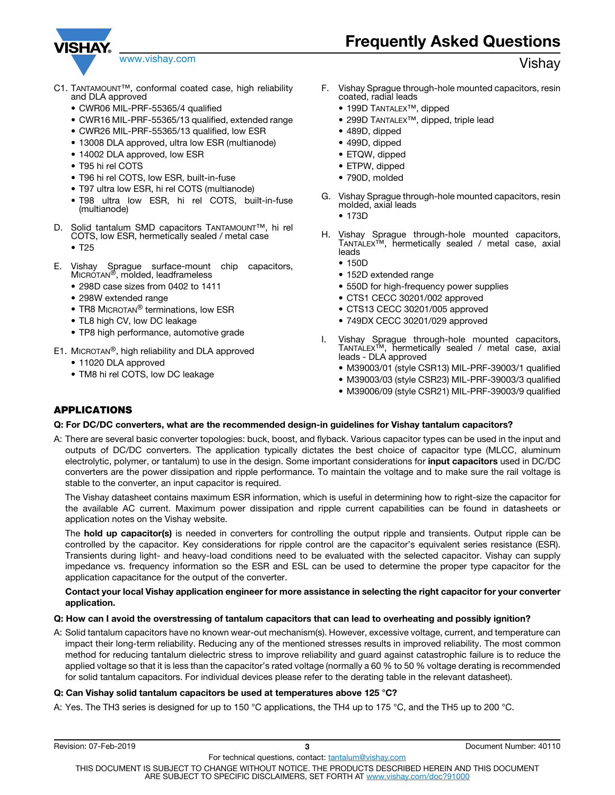<span id="page-2-0"></span>

- C1. TANTAMOUNT™, conformal coated case, high reliability and DLA approved
	- CWR06 MIL-PRF-55365/4 qualified
	- CWR16 MIL-PRF-55365/13 qualified, extended range
	- CWR26 MIL-PRF-55365/13 qualified, low ESR
	- 13008 DLA approved, ultra low ESR (multianode)
	- 14002 DLA approved, low ESR
	- T95 hi rel COTS
	- T96 hi rel COTS, low ESR, built-in-fuse
	- T97 ultra low ESR, hi rel COTS (multianode)
	- T98 ultra low ESR, hi rel COTS, built-in-fuse (multianode)
- D. Solid tantalum SMD capacitors TANTAMOUNT™, hi rel COTS, low ESR, hermetically sealed / metal case
	- T25
- E. Vishay Sprague surface-mount chip capacitors, MICROTAN<sup>®</sup>, molded, leadframeless
	- 298D case sizes from 0402 to 1411
	- 298W extended range
	- TR8 MICROTAN<sup>®</sup> terminations, low ESR
	- TL8 high CV, low DC leakage
	- TP8 high performance, automotive grade
- E1. MICROTAN®, high reliability and DLA approved
	- 11020 DLA approved
	- TM8 hi rel COTS, low DC leakage
- F. Vishay Sprague through-hole mounted capacitors, resin coated, radial leads
	- 199D TANTALEX™, dipped
	- 299D TANTALEX™, dipped, triple lead
	- 489D, dipped
	- 499D, dipped
	- ETQW, dipped
	- ETPW, dipped
	- 790D, molded
- G. Vishay Sprague through-hole mounted capacitors, resin molded, axial leads
	- 173D
- H. Vishay Sprague through-hole mounted capacitors, TANTALEX™, hermetically sealed / metal case, axial leads
	- 150D
	- 152D extended range
	- 550D for high-frequency power supplies
	- CTS1 CECC 30201/002 approved
	- CTS13 CECC 30201/005 approved
	- 749DX CECC 30201/029 approved
- I. Vishay Sprague through-hole mounted capacitors, TANTALEX™, hermetically sealed / metal case, axial leads - DLA approved
	- M39003/01 (style CSR13) MIL-PRF-39003/1 qualified
	- M39003/03 (style CSR23) MIL-PRF-39003/3 qualified
	- M39006/09 (style CSR21) MIL-PRF-39003/9 qualified

# APPLICATIONS

#### Q: For DC/DC converters, what are the recommended design-in guidelines for Vishay tantalum capacitors?

A: There are several basic converter topologies: buck, boost, and flyback. Various capacitor types can be used in the input and outputs of DC/DC converters. The application typically dictates the best choice of capacitor type (MLCC, aluminum electrolytic, polymer, or tantalum) to use in the design. Some important considerations for *input capacitors* used in DC/DC converters are the power dissipation and ripple performance. To maintain the voltage and to make sure the rail voltage is stable to the converter, an input capacitor is required.

The Vishay datasheet contains maximum ESR information, which is useful in determining how to right-size the capacitor for the available AC current. Maximum power dissipation and ripple current capabilities can be found in datasheets or application notes on the Vishay website.

The **hold up capacitor(s)** is needed in converters for controlling the output ripple and transients. Output ripple can be controlled by the capacitor. Key considerations for ripple control are the capacitor's equivalent series resistance (ESR). Transients during light- and heavy-load conditions need to be evaluated with the selected capacitor. Vishay can supply impedance vs. frequency information so the ESR and ESL can be used to determine the proper type capacitor for the application capacitance for the output of the converter.

#### Contact your local Vishay application engineer for more assistance in selecting the right capacitor for your converter application.

#### Q: How can I avoid the overstressing of tantalum capacitors that can lead to overheating and possibly ignition?

A: Solid tantalum capacitors have no known wear-out mechanism(s). However, excessive voltage, current, and temperature can impact their long-term reliability. Reducing any of the mentioned stresses results in improved reliability. The most common method for reducing tantalum dielectric stress to improve reliability and guard against catastrophic failure is to reduce the applied voltage so that it is less than the capacitor's rated voltage (normally a 60 % to 50 % voltage derating is recommended for solid tantalum capacitors. For individual devices please refer to the derating table in the relevant datasheet).

#### Q: Can Vishay solid tantalum capacitors be used at temperatures above 125 °C?

A: Yes. The TH3 series is designed for up to 150 °C applications, the TH4 up to 175 °C, and the TH5 up to 200 °C.

# www.vishay.com **Vishay.com** and the commutation of the commutation of the commutation of the commutation of the commutation of the commutation of the commutation of the commutation of the commutation of the commutation of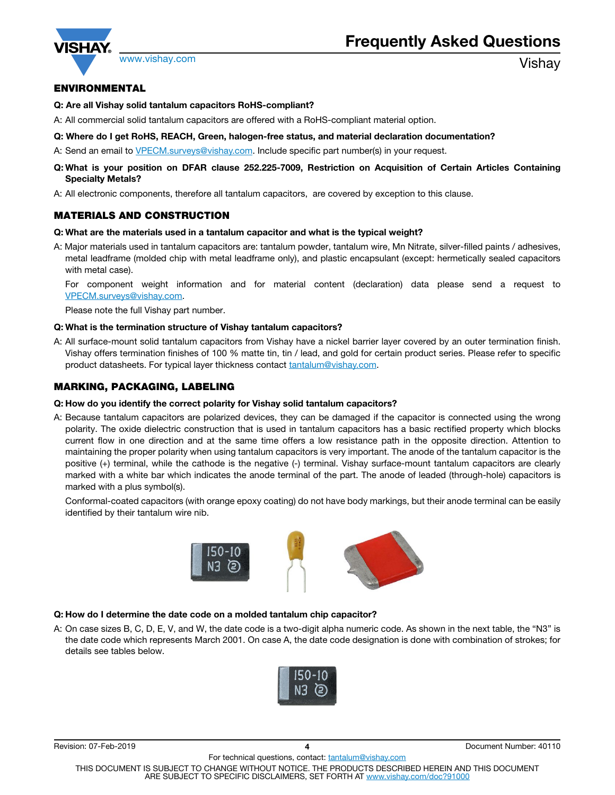<span id="page-3-0"></span>

# ENVIRONMENTAL

#### Q: Are all Vishay solid tantalum capacitors RoHS-compliant?

A: All commercial solid tantalum capacitors are offered with a RoHS-compliant material option.

#### Q: Where do I get RoHS, REACH, Green, halogen-free status, and material declaration documentation?

A: Send an email to VPECM.surveys@vishay.com. Include specific part number(s) in your request.

- Q: What is your position on DFAR clause 252.225-7009, Restriction on Acquisition of Certain Articles Containing Specialty Metals?
- A: All electronic components, therefore all tantalum capacitors, are covered by exception to this clause.

# MATERIALS AND CONSTRUCTION

#### Q: What are the materials used in a tantalum capacitor and what is the typical weight?

A: Major materials used in tantalum capacitors are: tantalum powder, tantalum wire, Mn Nitrate, silver-filled paints / adhesives, metal leadframe (molded chip with metal leadframe only), and plastic encapsulant (except: hermetically sealed capacitors with metal case).

For component weight information and for material content (declaration) data please send a request to VPECM.surveys@vishay.com.

Please note the full Vishay part number.

#### Q: What is the termination structure of Vishay tantalum capacitors?

A: All surface-mount solid tantalum capacitors from Vishay have a nickel barrier layer covered by an outer termination finish. Vishay offers termination finishes of 100 % matte tin, tin / lead, and gold for certain product series. Please refer to specific product datasheets. For typical layer thickness contact tantalum@vishay.com.

# MARKING, PACKAGING, LABELING

#### Q: How do you identify the correct polarity for Vishay solid tantalum capacitors?

A: Because tantalum capacitors are polarized devices, they can be damaged if the capacitor is connected using the wrong polarity. The oxide dielectric construction that is used in tantalum capacitors has a basic rectified property which blocks current flow in one direction and at the same time offers a low resistance path in the opposite direction. Attention to maintaining the proper polarity when using tantalum capacitors is very important. The anode of the tantalum capacitor is the positive (+) terminal, while the cathode is the negative (-) terminal. Vishay surface-mount tantalum capacitors are clearly marked with a white bar which indicates the anode terminal of the part. The anode of leaded (through-hole) capacitors is marked with a plus symbol(s).

Conformal-coated capacitors (with orange epoxy coating) do not have body markings, but their anode terminal can be easily identified by their tantalum wire nib.



#### Q: How do I determine the date code on a molded tantalum chip capacitor?

A: On case sizes B, C, D, E, V, and W, the date code is a two-digit alpha numeric code. As shown in the next table, the "N3" is the date code which represents March 2001. On case A, the date code designation is done with combination of strokes; for details see tables below.



THIS DOCUMENT IS SUBJECT TO CHANGE WITHOUT NOTICE. THE PRODUCTS DESCRIBED HEREIN AND THIS DOCUMENT ARE SUBJECT TO SPECIFIC DISCLAIMERS, SET FORTH AT www.vishay.com/doc?91000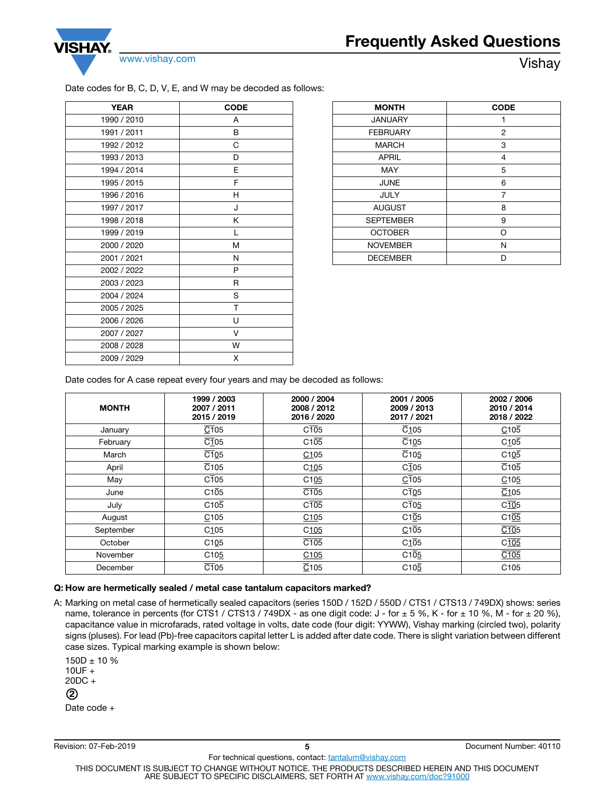<span id="page-4-0"></span>

#### Date codes for B, C, D, V, E, and W may be decoded as follows:

| <b>YEAR</b> | <b>CODE</b> |  |
|-------------|-------------|--|
| 1990 / 2010 | А           |  |
| 1991 / 2011 | В           |  |
| 1992 / 2012 | С           |  |
| 1993 / 2013 | D           |  |
| 1994 / 2014 | E           |  |
| 1995 / 2015 | F           |  |
| 1996 / 2016 | н           |  |
| 1997 / 2017 | J           |  |
| 1998 / 2018 | Κ           |  |
| 1999 / 2019 | L           |  |
| 2000 / 2020 | M           |  |
| 2001 / 2021 | N           |  |
| 2002 / 2022 | P           |  |
| 2003 / 2023 | R           |  |
| 2004 / 2024 | S           |  |
| 2005 / 2025 | T           |  |
| 2006 / 2026 | U           |  |
| 2007 / 2027 | v           |  |
| 2008 / 2028 | W           |  |
| 2009 / 2029 | х           |  |

| <b>MONTH</b>     | <b>CODE</b>    |  |
|------------------|----------------|--|
| <b>JANUARY</b>   | 1              |  |
| <b>FEBRUARY</b>  | $\overline{c}$ |  |
| <b>MARCH</b>     | 3              |  |
| <b>APRIL</b>     | 4              |  |
| <b>MAY</b>       | 5              |  |
| <b>JUNE</b>      | 6              |  |
| <b>JULY</b>      | 7              |  |
| <b>AUGUST</b>    | 8              |  |
| <b>SEPTEMBER</b> | 9              |  |
| <b>OCTOBER</b>   | $\Omega$       |  |
| <b>NOVEMBER</b>  | N              |  |
| <b>DECEMBER</b>  | n              |  |

Date codes for A case repeat every four years and may be decoded as follows:

| <b>MONTH</b> | 1999 / 2003<br>2007 / 2011<br>2015 / 2019 | 2000 / 2004<br>2008 / 2012<br>2016 / 2020 | 2001 / 2005<br>2009 / 2013<br>2017 / 2021 | 2002 / 2006<br>2010 / 2014<br>2018 / 2022 |
|--------------|-------------------------------------------|-------------------------------------------|-------------------------------------------|-------------------------------------------|
| January      | C105                                      | C <sub>105</sub>                          | C105                                      | C105                                      |
| February     | $\overline{C1}05$                         | C105                                      | $\overline{C105}$                         | C105                                      |
| March        | $\overline{C105}$                         | C105                                      | $\overline{C}$ 105                        | C105                                      |
| April        | $\overline{C}$ 105                        | C105                                      | C <sub>105</sub>                          | $\overline{C}$ 105                        |
| May          | C <sub>105</sub>                          | C105                                      | C <sub>105</sub>                          | $C$ 105                                   |
| June         | C105                                      | $\overline{C105}$                         | C <sub>105</sub>                          | $\overline{C}$ 105                        |
| July         | C <sub>105</sub>                          | C <sub>105</sub>                          | C <sub>105</sub>                          | $C$ $105$                                 |
| August       | C <sub>105</sub>                          | C105                                      | C105                                      | C105                                      |
| September    | C <sub>105</sub>                          | C105                                      | C105                                      | $\overline{C105}$                         |
| October      | C <sub>105</sub>                          | C <sub>105</sub>                          | C105                                      | C <sub>105</sub>                          |
| November     | C <sub>105</sub>                          | C <sub>105</sub>                          | $C1\overline{0}5$                         | C105                                      |
| December     | $\overline{C105}$                         | $\overline{C}$ 105                        | C10 <sub>5</sub>                          | C <sub>105</sub>                          |

#### Q: How are hermetically sealed / metal case tantalum capacitors marked?

A: Marking on metal case of hermetically sealed capacitors (series 150D / 152D / 550D / CTS1 / CTS13 / 749DX) shows: series name, tolerance in percents (for CTS1 / CTS13 / 749DX - as one digit code:  $J$  - for  $\pm$  5 %, K - for  $\pm$  10 %, M - for  $\pm$  20 %), capacitance value in microfarads, rated voltage in volts, date code (four digit: YYWW), Vishay marking (circled two), polarity signs (pluses). For lead (Pb)-free capacitors capital letter L is added after date code. There is slight variation between different case sizes. Typical marking example is shown below:

```
150D \pm 10 %
10UF +20DC +
Date code +
2
```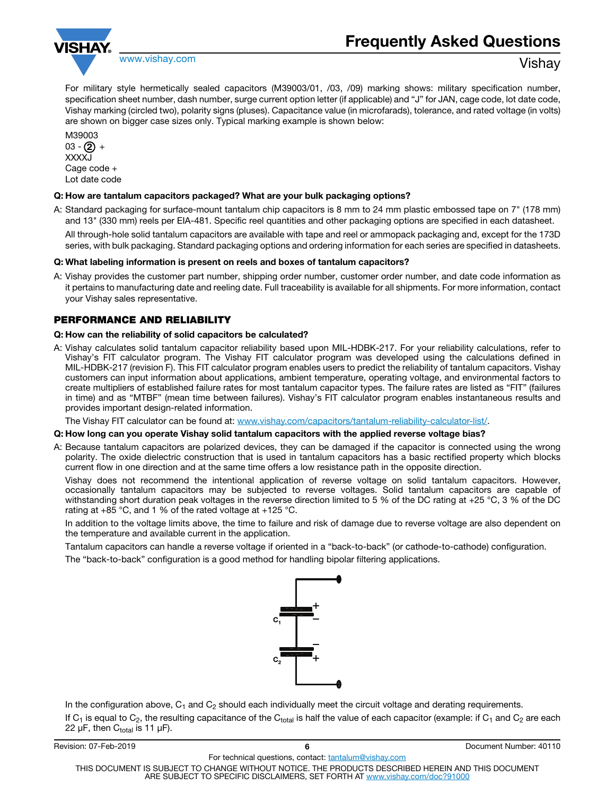<span id="page-5-0"></span>

For military style hermetically sealed capacitors (M39003/01, /03, /09) marking shows: military specification number, specification sheet number, dash number, surge current option letter (if applicable) and "J" for JAN, cage code, lot date code, Vishay marking (circled two), polarity signs (pluses). Capacitance value (in microfarads), tolerance, and rated voltage (in volts) are shown on bigger case sizes only. Typical marking example is shown below:

M39003 03 - **(2)** + XXXX.I Cage code + Lot date code

#### Q: How are tantalum capacitors packaged? What are your bulk packaging options?

A: Standard packaging for surface-mount tantalum chip capacitors is 8 mm to 24 mm plastic embossed tape on 7" (178 mm) and 13" (330 mm) reels per EIA-481. Specific reel quantities and other packaging options are specified in each datasheet.

All through-hole solid tantalum capacitors are available with tape and reel or ammopack packaging and, except for the 173D series, with bulk packaging. Standard packaging options and ordering information for each series are specified in datasheets.

#### Q: What labeling information is present on reels and boxes of tantalum capacitors?

A: Vishay provides the customer part number, shipping order number, customer order number, and date code information as it pertains to manufacturing date and reeling date. Full traceability is available for all shipments. For more information, contact your Vishay sales representative.

### PERFORMANCE AND RELIABILITY

#### Q: How can the reliability of solid capacitors be calculated?

A: Vishay calculates solid tantalum capacitor reliability based upon MIL-HDBK-217. For your reliability calculations, refer to Vishay's FIT calculator program. The Vishay FIT calculator program was developed using the calculations defined in MIL-HDBK-217 (revision F). This FIT calculator program enables users to predict the reliability of tantalum capacitors. Vishay customers can input information about applications, ambient temperature, operating voltage, and environmental factors to create multipliers of established failure rates for most tantalum capacitor types. The failure rates are listed as "FIT" (failures in time) and as "MTBF" (mean time between failures). Vishay's FIT calculator program enables instantaneous results and provides important design-related information.

The Vishay FIT calculator can be found at: www.vishay.com/capacitors/tantalum-reliability-calculator-list/.

#### Q: How long can you operate Vishay solid tantalum capacitors with the applied reverse voltage bias?

A: Because tantalum capacitors are polarized devices, they can be damaged if the capacitor is connected using the wrong polarity. The oxide dielectric construction that is used in tantalum capacitors has a basic rectified property which blocks current flow in one direction and at the same time offers a low resistance path in the opposite direction.

Vishay does not recommend the intentional application of reverse voltage on solid tantalum capacitors. However, occasionally tantalum capacitors may be subjected to reverse voltages. Solid tantalum capacitors are capable of withstanding short duration peak voltages in the reverse direction limited to 5 % of the DC rating at +25 °C, 3 % of the DC rating at  $+85$  °C, and 1 % of the rated voltage at  $+125$  °C.

In addition to the voltage limits above, the time to failure and risk of damage due to reverse voltage are also dependent on the temperature and available current in the application.

Tantalum capacitors can handle a reverse voltage if oriented in a "back-to-back" (or cathode-to-cathode) configuration. The "back-to-back" configuration is a good method for handling bipolar filtering applications.



In the configuration above,  $C_1$  and  $C_2$  should each individually meet the circuit voltage and derating requirements. If  $C_1$  is equal to  $C_2$ , the resulting capacitance of the  $C_{total}$  is half the value of each capacitor (example: if  $C_1$  and  $C_2$  are each 22 μF, then  $C_{total}$  is 11 μF).

| Revision: 07-Feb-2019                                                                              |                                                                            | Document Number: 40110 |  |
|----------------------------------------------------------------------------------------------------|----------------------------------------------------------------------------|------------------------|--|
| For technical questions, contact: tantalum@vishay.com                                              |                                                                            |                        |  |
| THIS DOCUMENT IS SUBJECT TO CHANGE WITHOUT NOTICE. THE PRODUCTS DESCRIBED HEREIN AND THIS DOCUMENT |                                                                            |                        |  |
|                                                                                                    | ARE SUBJECT TO SPECIFIC DISCLAIMERS. SET FORTH AT www.vishav.com/doc?91000 |                        |  |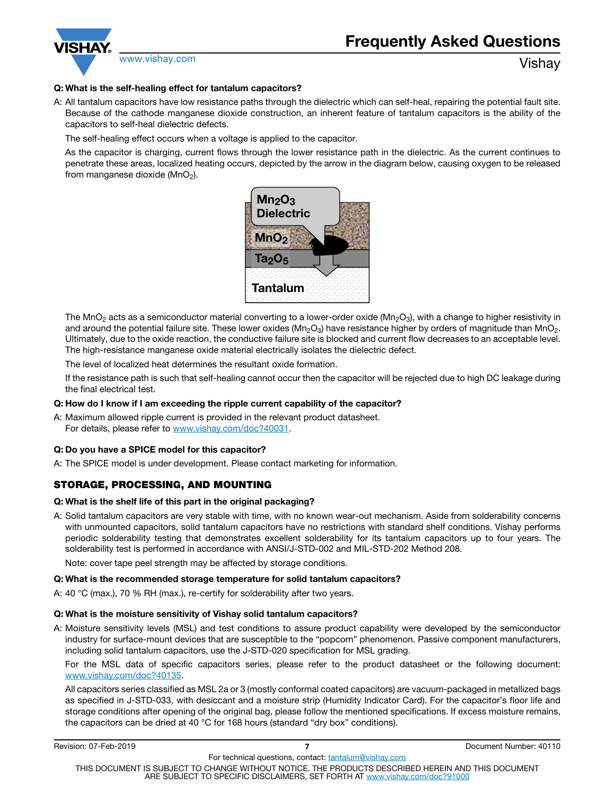<span id="page-6-0"></span>

### Q: What is the self-healing effect for tantalum capacitors?

A: All tantalum capacitors have low resistance paths through the dielectric which can self-heal, repairing the potential fault site. Because of the cathode manganese dioxide construction, an inherent feature of tantalum capacitors is the ability of the capacitors to self-heal dielectric defects.

The self-healing effect occurs when a voltage is applied to the capacitor.

As the capacitor is charging, current flows through the lower resistance path in the dielectric. As the current continues to penetrate these areas, localized heating occurs, depicted by the arrow in the diagram below, causing oxygen to be released from manganese dioxide ( $MnO<sub>2</sub>$ ).



The MnO<sub>2</sub> acts as a semiconductor material converting to a lower-order oxide (Mn<sub>2</sub>O<sub>3</sub>), with a change to higher resistivity in and around the potential failure site. These lower oxides ( $Mn_2O_3$ ) have resistance higher by orders of magnitude than  $MnO_2$ . Ultimately, due to the oxide reaction, the conductive failure site is blocked and current flow decreases to an acceptable level. The high-resistance manganese oxide material electrically isolates the dielectric defect.

The level of localized heat determines the resultant oxide formation.

If the resistance path is such that self-healing cannot occur then the capacitor will be rejected due to high DC leakage during the final electrical test.

#### Q: How do I know if I am exceeding the ripple current capability of the capacitor?

A: Maximum allowed ripple current is provided in the relevant product datasheet. For details, please refer to www.vishay.com/doc?40031.

#### Q: Do you have a SPICE model for this capacitor?

A: The SPICE model is under development. Please contact marketing for information.

# STORAGE, PROCESSING, AND MOUNTING

#### Q: What is the shelf life of this part in the original packaging?

A: Solid tantalum capacitors are very stable with time, with no known wear-out mechanism. Aside from solderability concerns with unmounted capacitors, solid tantalum capacitors have no restrictions with standard shelf conditions. Vishay performs periodic solderability testing that demonstrates excellent solderability for its tantalum capacitors up to four years. The solderability test is performed in accordance with ANSI/J-STD-002 and MIL-STD-202 Method 208.

Note: cover tape peel strength may be affected by storage conditions.

#### Q: What is the recommended storage temperature for solid tantalum capacitors?

A: 40 °C (max.), 70 % RH (max.), re-certify for solderability after two years.

#### Q: What is the moisture sensitivity of Vishay solid tantalum capacitors?

A: Moisture sensitivity levels (MSL) and test conditions to assure product capability were developed by the semiconductor industry for surface-mount devices that are susceptible to the "popcorn" phenomenon. Passive component manufacturers, including solid tantalum capacitors, use the J-STD-020 specification for MSL grading.

For the MSL data of specific capacitors series, please refer to the product datasheet or the following document: www.vishay.com/doc?40135.

All capacitors series classified as MSL 2a or 3 (mostly conformal coated capacitors) are vacuum-packaged in metallized bags as specified in J-STD-033, with desiccant and a moisture strip (Humidity Indicator Card). For the capacitor's floor life and storage conditions after opening of the original bag, please follow the mentioned specifications. If excess moisture remains, the capacitors can be dried at 40 °C for 168 hours (standard "dry box" conditions).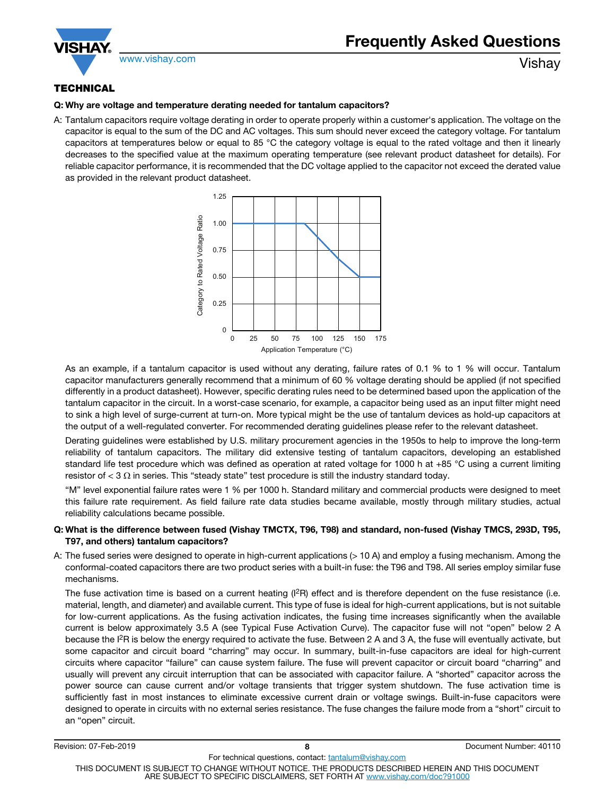<span id="page-7-0"></span>

# **TECHNICAL**

#### Q: Why are voltage and temperature derating needed for tantalum capacitors?

A: Tantalum capacitors require voltage derating in order to operate properly within a customer's application. The voltage on the capacitor is equal to the sum of the DC and AC voltages. This sum should never exceed the category voltage. For tantalum capacitors at temperatures below or equal to 85  $^{\circ}$ C the category voltage is equal to the rated voltage and then it linearly decreases to the specified value at the maximum operating temperature (see relevant product datasheet for details). For reliable capacitor performance, it is recommended that the DC voltage applied to the capacitor not exceed the derated value as provided in the relevant product datasheet.



As an example, if a tantalum capacitor is used without any derating, failure rates of 0.1 % to 1 % will occur. Tantalum capacitor manufacturers generally recommend that a minimum of 60 % voltage derating should be applied (if not specified differently in a product datasheet). However, specific derating rules need to be determined based upon the application of the tantalum capacitor in the circuit. In a worst-case scenario, for example, a capacitor being used as an input filter might need to sink a high level of surge-current at turn-on. More typical might be the use of tantalum devices as hold-up capacitors at the output of a well-regulated converter. For recommended derating guidelines please refer to the relevant datasheet.

Derating guidelines were established by U.S. military procurement agencies in the 1950s to help to improve the long-term reliability of tantalum capacitors. The military did extensive testing of tantalum capacitors, developing an established standard life test procedure which was defined as operation at rated voltage for 1000 h at +85 °C using a current limiting resistor of  $<$  3  $\Omega$  in series. This "steady state" test procedure is still the industry standard today.

"M" level exponential failure rates were 1 % per 1000 h. Standard military and commercial products were designed to meet this failure rate requirement. As field failure rate data studies became available, mostly through military studies, actual reliability calculations became possible.

#### Q: What is the difference between fused (Vishay TMCTX, T96, T98) and standard, non-fused (Vishay TMCS, 293D, T95, T97, and others) tantalum capacitors?

A: The fused series were designed to operate in high-current applications (> 10 A) and employ a fusing mechanism. Among the conformal-coated capacitors there are two product series with a built-in fuse: the T96 and T98. All series employ similar fuse mechanisms.

The fuse activation time is based on a current heating  $(I^2R)$  effect and is therefore dependent on the fuse resistance (i.e. material, length, and diameter) and available current. This type of fuse is ideal for high-current applications, but is not suitable for low-current applications. As the fusing activation indicates, the fusing time increases significantly when the available current is below approximately 3.5 A (see Typical Fuse Activation Curve). The capacitor fuse will not "open" below 2 A because the I<sup>2</sup>R is below the energy required to activate the fuse. Between 2 A and 3 A, the fuse will eventually activate, but some capacitor and circuit board "charring" may occur. In summary, built-in-fuse capacitors are ideal for high-current circuits where capacitor "failure" can cause system failure. The fuse will prevent capacitor or circuit board "charring" and usually will prevent any circuit interruption that can be associated with capacitor failure. A "shorted" capacitor across the power source can cause current and/or voltage transients that trigger system shutdown. The fuse activation time is sufficiently fast in most instances to eliminate excessive current drain or voltage swings. Built-in-fuse capacitors were designed to operate in circuits with no external series resistance. The fuse changes the failure mode from a "short" circuit to an "open" circuit.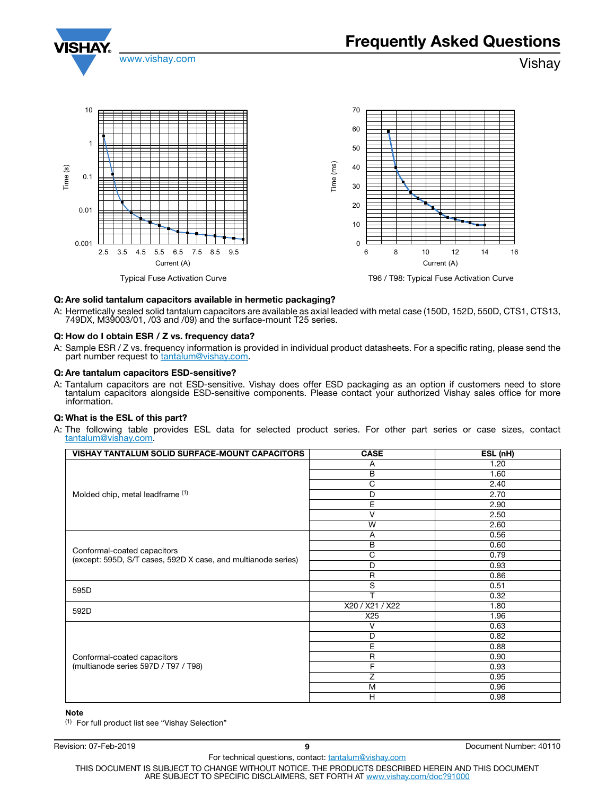<span id="page-8-0"></span>



#### Q: Are solid tantalum capacitors available in hermetic packaging?

A: Hermetically sealed solid tantalum capacitors are available as axial leaded with metal case (150D, 152D, 550D, CTS1, CTS13, 749DX, M39003/01, /03 and /09) and the surface-mount T25 series.

#### Q: How do I obtain ESR / Z vs. frequency data?

A: Sample ESR / Z vs. frequency information is provided in individual product datasheets. For a specific rating, please send the part number request to **tantalum@vishay.com**.

#### Q: Are tantalum capacitors ESD-sensitive?

A: Tantalum capacitors are not ESD-sensitive. Vishay does offer ESD packaging as an option if customers need to store tantalum capacitors alongside ESD-sensitive components. Please contact your authorized Vishay sales office for more information.

#### Q: What is the ESL of this part?

A: The following table provides ESL data for selected product series. For other part series or case sizes, contact tantalum@vishay.com.

| VISHAY TANTALUM SOLID SURFACE-MOUNT CAPACITORS                                               | <b>CASE</b>     | ESL (nH) |
|----------------------------------------------------------------------------------------------|-----------------|----------|
| Molded chip, metal leadframe (1)                                                             | A               | 1.20     |
|                                                                                              | В               | 1.60     |
|                                                                                              | C               | 2.40     |
|                                                                                              | D               | 2.70     |
|                                                                                              | Ε               | 2.90     |
|                                                                                              | v               | 2.50     |
|                                                                                              | W               | 2.60     |
|                                                                                              | A               | 0.56     |
|                                                                                              | B               | 0.60     |
| Conformal-coated capacitors<br>(except: 595D, S/T cases, 592D X case, and multianode series) | C               | 0.79     |
|                                                                                              | D               | 0.93     |
|                                                                                              | $\mathsf{R}$    | 0.86     |
| 595D                                                                                         | S               | 0.51     |
|                                                                                              | T               | 0.32     |
| 592D                                                                                         | X20 / X21 / X22 | 1.80     |
|                                                                                              | X25             | 1.96     |
| Conformal-coated capacitors<br>(multianode series 597D / T97 / T98)                          | V               | 0.63     |
|                                                                                              | D               | 0.82     |
|                                                                                              | Е               | 0.88     |
|                                                                                              | $\mathsf R$     | 0.90     |
|                                                                                              | F               | 0.93     |
|                                                                                              | Z               | 0.95     |
|                                                                                              | M               | 0.96     |
|                                                                                              | H               | 0.98     |

#### Note

(1) For full product list see "Vishay Selection"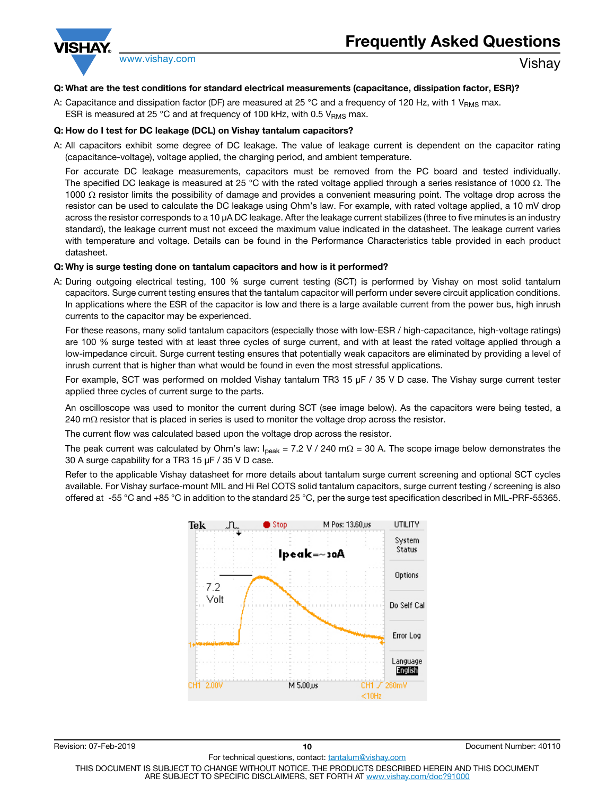<span id="page-9-0"></span>

#### Q: What are the test conditions for standard electrical measurements (capacitance, dissipation factor, ESR)?

A: Capacitance and dissipation factor (DF) are measured at 25 °C and a frequency of 120 Hz, with 1  $V_{RMS}$  max. ESR is measured at 25 °C and at frequency of 100 kHz, with 0.5  $V<sub>RMS</sub>$  max.

#### Q: How do I test for DC leakage (DCL) on Vishay tantalum capacitors?

A: All capacitors exhibit some degree of DC leakage. The value of leakage current is dependent on the capacitor rating (capacitance-voltage), voltage applied, the charging period, and ambient temperature.

For accurate DC leakage measurements, capacitors must be removed from the PC board and tested individually. The specified DC leakage is measured at 25 °C with the rated voltage applied through a series resistance of 1000  $\Omega$ . The 1000  $\Omega$  resistor limits the possibility of damage and provides a convenient measuring point. The voltage drop across the resistor can be used to calculate the DC leakage using Ohm's law. For example, with rated voltage applied, a 10 mV drop across the resistor corresponds to a 10 μA DC leakage. After the leakage current stabilizes (three to five minutes is an industry standard), the leakage current must not exceed the maximum value indicated in the datasheet. The leakage current varies with temperature and voltage. Details can be found in the Performance Characteristics table provided in each product datasheet.

#### Q: Why is surge testing done on tantalum capacitors and how is it performed?

A: During outgoing electrical testing, 100 % surge current testing (SCT) is performed by Vishay on most solid tantalum capacitors. Surge current testing ensures that the tantalum capacitor will perform under severe circuit application conditions. In applications where the ESR of the capacitor is low and there is a large available current from the power bus, high inrush currents to the capacitor may be experienced.

For these reasons, many solid tantalum capacitors (especially those with low-ESR / high-capacitance, high-voltage ratings) are 100 % surge tested with at least three cycles of surge current, and with at least the rated voltage applied through a low-impedance circuit. Surge current testing ensures that potentially weak capacitors are eliminated by providing a level of inrush current that is higher than what would be found in even the most stressful applications.

For example, SCT was performed on molded Vishay tantalum TR3 15 μF / 35 V D case. The Vishay surge current tester applied three cycles of current surge to the parts.

An oscilloscope was used to monitor the current during SCT (see image below). As the capacitors were being tested, a 240 m $\Omega$  resistor that is placed in series is used to monitor the voltage drop across the resistor.

The current flow was calculated based upon the voltage drop across the resistor.

The peak current was calculated by Ohm's law:  $I_{peak}$  = 7.2 V / 240 m $\Omega$  = 30 A. The scope image below demonstrates the 30 A surge capability for a TR3 15 μF / 35 V D case.

Refer to the applicable Vishay datasheet for more details about tantalum surge current screening and optional SCT cycles available. For Vishay surface-mount MIL and Hi Rel COTS solid tantalum capacitors, surge current testing / screening is also offered at -55 °C and +85 °C in addition to the standard 25 °C, per the surge test specification described in MIL-PRF-55365.